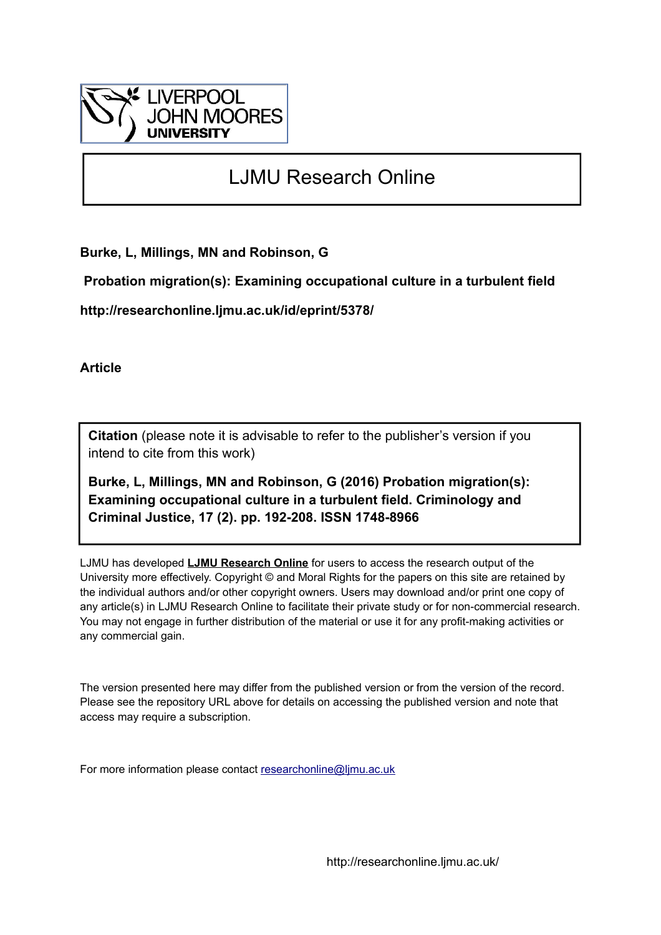

# LJMU Research Online

**Burke, L, Millings, MN and Robinson, G**

 **Probation migration(s): Examining occupational culture in a turbulent field**

**http://researchonline.ljmu.ac.uk/id/eprint/5378/**

**Article**

**Citation** (please note it is advisable to refer to the publisher's version if you intend to cite from this work)

**Burke, L, Millings, MN and Robinson, G (2016) Probation migration(s): Examining occupational culture in a turbulent field. Criminology and Criminal Justice, 17 (2). pp. 192-208. ISSN 1748-8966** 

LJMU has developed **[LJMU Research Online](http://researchonline.ljmu.ac.uk/)** for users to access the research output of the University more effectively. Copyright © and Moral Rights for the papers on this site are retained by the individual authors and/or other copyright owners. Users may download and/or print one copy of any article(s) in LJMU Research Online to facilitate their private study or for non-commercial research. You may not engage in further distribution of the material or use it for any profit-making activities or any commercial gain.

The version presented here may differ from the published version or from the version of the record. Please see the repository URL above for details on accessing the published version and note that access may require a subscription.

For more information please contact [researchonline@ljmu.ac.uk](mailto:researchonline@ljmu.ac.uk)

http://researchonline.ljmu.ac.uk/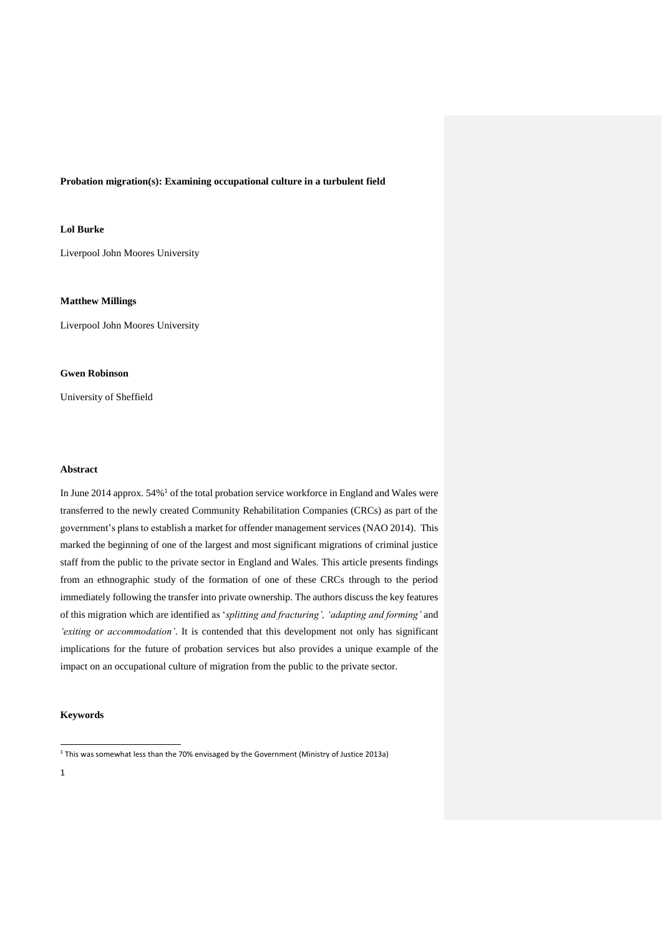## **Probation migration(s): Examining occupational culture in a turbulent field**

# **Lol Burke**

Liverpool John Moores University

## **Matthew Millings**

Liverpool John Moores University

## **Gwen Robinson**

University of Sheffield

## **Abstract**

In June 2014 approx.  $54\%$ <sup>1</sup> of the total probation service workforce in England and Wales were transferred to the newly created Community Rehabilitation Companies (CRCs) as part of the government's plans to establish a market for offender management services (NAO 2014). This marked the beginning of one of the largest and most significant migrations of criminal justice staff from the public to the private sector in England and Wales. This article presents findings from an ethnographic study of the formation of one of these CRCs through to the period immediately following the transfer into private ownership. The authors discuss the key features of this migration which are identified as '*splitting and fracturing', 'adapting and forming'* and *'exiting or accommodation'*. It is contended that this development not only has significant implications for the future of probation services but also provides a unique example of the impact on an occupational culture of migration from the public to the private sector.

# **Keywords**

<sup>&</sup>lt;sup>1</sup> This was somewhat less than the 70% envisaged by the Government (Ministry of Justice 2013a)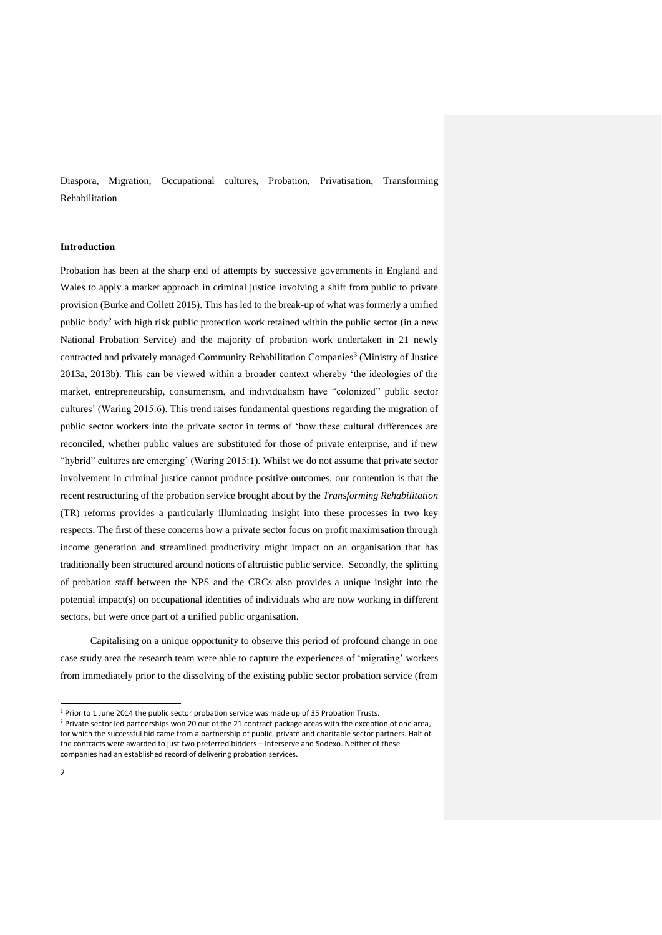Diaspora, Migration, Occupational cultures, Probation, Privatisation, Transforming Rehabilitation

## **Introduction**

Probation has been at the sharp end of attempts by successive governments in England and Wales to apply a market approach in criminal justice involving a shift from public to private provision (Burke and Collett 2015). This has led to the break-up of what was formerly a unified public body<sup>2</sup> with high risk public protection work retained within the public sector (in a new National Probation Service) and the majority of probation work undertaken in 21 newly contracted and privately managed Community Rehabilitation Companies<sup>3</sup> (Ministry of Justice 2013a, 2013b). This can be viewed within a broader context whereby 'the ideologies of the market, entrepreneurship, consumerism, and individualism have "colonized" public sector cultures' (Waring 2015:6). This trend raises fundamental questions regarding the migration of public sector workers into the private sector in terms of 'how these cultural differences are reconciled, whether public values are substituted for those of private enterprise, and if new "hybrid" cultures are emerging' (Waring 2015:1). Whilst we do not assume that private sector involvement in criminal justice cannot produce positive outcomes, our contention is that the recent restructuring of the probation service brought about by the *Transforming Rehabilitation* (TR) reforms provides a particularly illuminating insight into these processes in two key respects. The first of these concerns how a private sector focus on profit maximisation through income generation and streamlined productivity might impact on an organisation that has traditionally been structured around notions of altruistic public service. Secondly, the splitting of probation staff between the NPS and the CRCs also provides a unique insight into the potential impact(s) on occupational identities of individuals who are now working in different sectors, but were once part of a unified public organisation.

Capitalising on a unique opportunity to observe this period of profound change in one case study area the research team were able to capture the experiences of 'migrating' workers from immediately prior to the dissolving of the existing public sector probation service (from

<sup>&</sup>lt;sup>2</sup> Prior to 1 June 2014 the public sector probation service was made up of 35 Probation Trusts.

<sup>&</sup>lt;sup>3</sup> Private sector led partnerships won 20 out of the 21 contract package areas with the exception of one area, for which the successful bid came from a partnership of public, private and charitable sector partners. Half of the contracts were awarded to just two preferred bidders – Interserve and Sodexo. Neither of these companies had an established record of delivering probation services.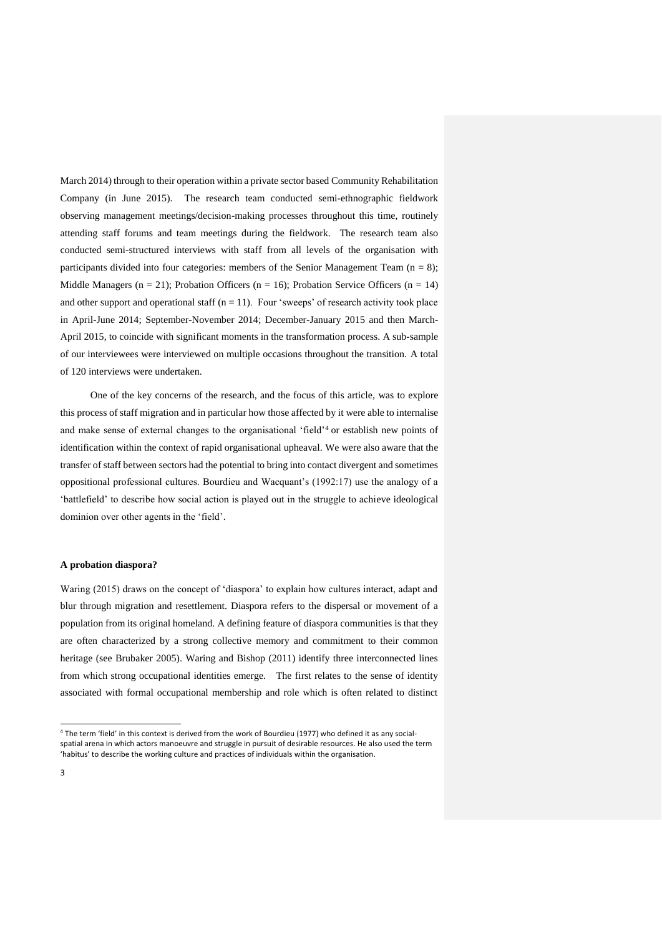March 2014) through to their operation within a private sector based Community Rehabilitation Company (in June 2015). The research team conducted semi-ethnographic fieldwork observing management meetings/decision-making processes throughout this time, routinely attending staff forums and team meetings during the fieldwork. The research team also conducted semi-structured interviews with staff from all levels of the organisation with participants divided into four categories: members of the Senior Management Team  $(n = 8)$ ; Middle Managers (n = 21); Probation Officers (n = 16); Probation Service Officers (n = 14) and other support and operational staff  $(n = 11)$ . Four 'sweeps' of research activity took place in April-June 2014; September-November 2014; December-January 2015 and then March-April 2015, to coincide with significant moments in the transformation process. A sub-sample of our interviewees were interviewed on multiple occasions throughout the transition. A total of 120 interviews were undertaken.

One of the key concerns of the research, and the focus of this article, was to explore this process of staff migration and in particular how those affected by it were able to internalise and make sense of external changes to the organisational 'field'<sup>4</sup> or establish new points of identification within the context of rapid organisational upheaval. We were also aware that the transfer of staff between sectors had the potential to bring into contact divergent and sometimes oppositional professional cultures. Bourdieu and Wacquant's (1992:17) use the analogy of a 'battlefield' to describe how social action is played out in the struggle to achieve ideological dominion over other agents in the 'field'.

#### **A probation diaspora?**

Waring (2015) draws on the concept of 'diaspora' to explain how cultures interact, adapt and blur through migration and resettlement. Diaspora refers to the dispersal or movement of a population from its original homeland. A defining feature of diaspora communities is that they are often characterized by a strong collective memory and commitment to their common heritage (see Brubaker 2005). Waring and Bishop (2011) identify three interconnected lines from which strong occupational identities emerge. The first relates to the sense of identity associated with formal occupational membership and role which is often related to distinct

<sup>4</sup> The term 'field' in this context is derived from the work of Bourdieu (1977) who defined it as any socialspatial arena in which actors manoeuvre and struggle in pursuit of desirable resources. He also used the term 'habitus' to describe the working culture and practices of individuals within the organisation.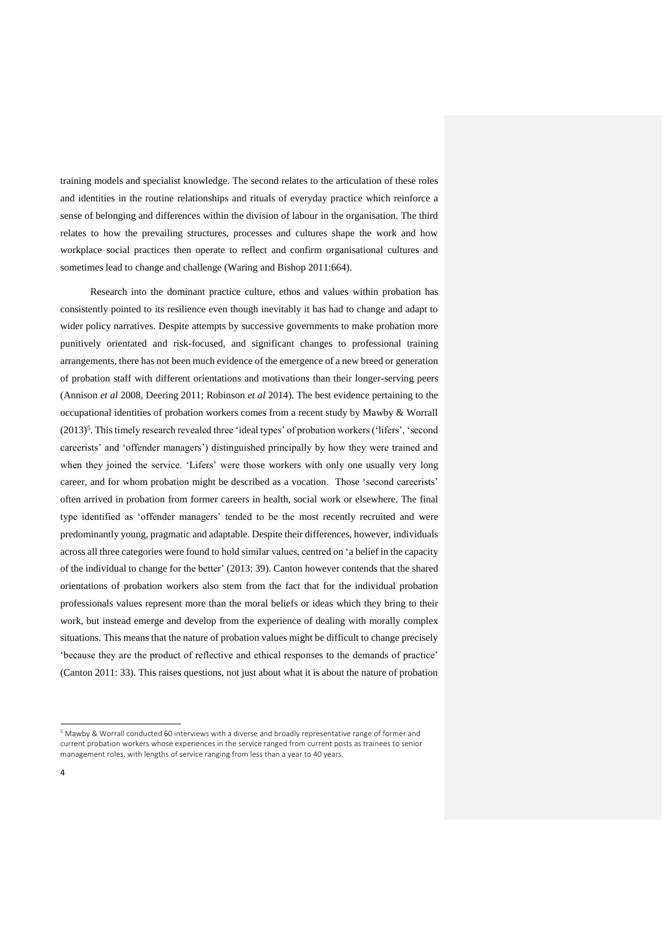training models and specialist knowledge. The second relates to the articulation of these roles and identities in the routine relationships and rituals of everyday practice which reinforce a sense of belonging and differences within the division of labour in the organisation. The third relates to how the prevailing structures, processes and cultures shape the work and how workplace social practices then operate to reflect and confirm organisational cultures and sometimes lead to change and challenge (Waring and Bishop 2011:664).

Research into the dominant practice culture, ethos and values within probation has consistently pointed to its resilience even though inevitably it has had to change and adapt to wider policy narratives. Despite attempts by successive governments to make probation more punitively orientated and risk-focused, and significant changes to professional training arrangements, there has not been much evidence of the emergence of a new breed or generation of probation staff with different orientations and motivations than their longer-serving peers (Annison *et al* 2008, Deering 2011; Robinson *et al* 2014). The best evidence pertaining to the occupational identities of probation workers comes from a recent study by Mawby & Worrall (2013)<sup>5</sup>. This timely research revealed three 'ideal types' of probation workers ('lifers', 'second careerists' and 'offender managers') distinguished principally by how they were trained and when they joined the service. 'Lifers' were those workers with only one usually very long career, and for whom probation might be described as a vocation. Those 'second careerists' often arrived in probation from former careers in health, social work or elsewhere. The final type identified as 'offender managers' tended to be the most recently recruited and were predominantly young, pragmatic and adaptable. Despite their differences, however, individuals across all three categories were found to hold similar values, centred on 'a belief in the capacity of the individual to change for the better' (2013: 39). Canton however contends that the shared orientations of probation workers also stem from the fact that for the individual probation professionals values represent more than the moral beliefs or ideas which they bring to their work, but instead emerge and develop from the experience of dealing with morally complex situations. This means that the nature of probation values might be difficult to change precisely 'because they are the product of reflective and ethical responses to the demands of practice' (Canton 2011: 33). This raises questions, not just about what it is about the nature of probation

<sup>5</sup> Mawby & Worrall conducted 60 interviews with a diverse and broadly representative range of former and current probation workers whose experiences in the service ranged from current posts as trainees to senior management roles, with lengths of service ranging from less than a year to 40 years.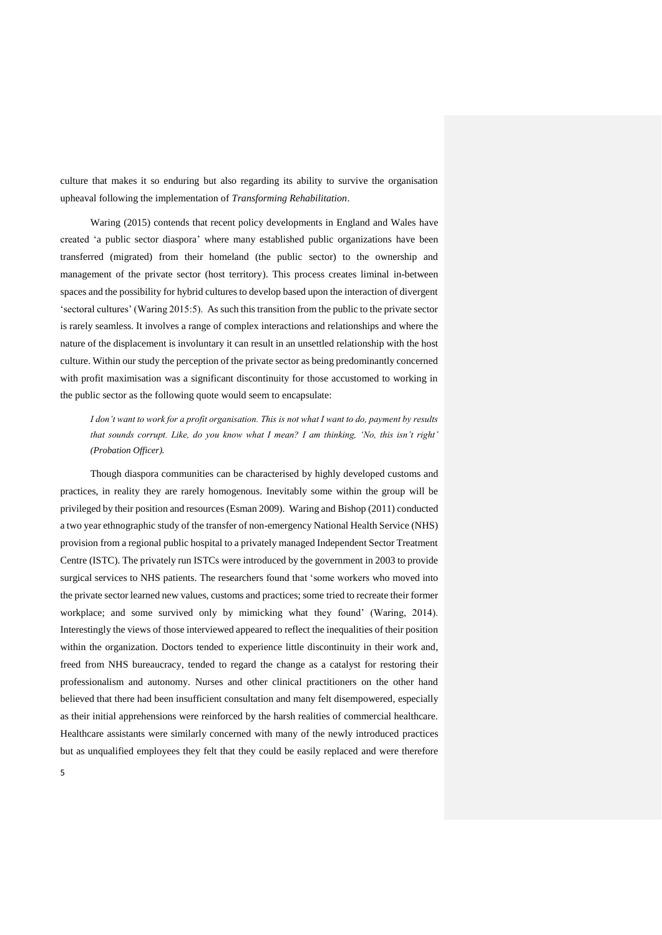culture that makes it so enduring but also regarding its ability to survive the organisation upheaval following the implementation of *Transforming Rehabilitation*.

Waring (2015) contends that recent policy developments in England and Wales have created 'a public sector diaspora' where many established public organizations have been transferred (migrated) from their homeland (the public sector) to the ownership and management of the private sector (host territory). This process creates liminal in-between spaces and the possibility for hybrid cultures to develop based upon the interaction of divergent 'sectoral cultures' (Waring 2015:5). As such this transition from the public to the private sector is rarely seamless. It involves a range of complex interactions and relationships and where the nature of the displacement is involuntary it can result in an unsettled relationship with the host culture. Within our study the perception of the private sector as being predominantly concerned with profit maximisation was a significant discontinuity for those accustomed to working in the public sector as the following quote would seem to encapsulate:

*I don't want to work for a profit organisation. This is not what I want to do, payment by results that sounds corrupt. Like, do you know what I mean? I am thinking, 'No, this isn't right' (Probation Officer).*

Though diaspora communities can be characterised by highly developed customs and practices, in reality they are rarely homogenous. Inevitably some within the group will be privileged by their position and resources (Esman 2009). Waring and Bishop (2011) conducted a two year ethnographic study of the transfer of non-emergency National Health Service (NHS) provision from a regional public hospital to a privately managed Independent Sector Treatment Centre (ISTC). The privately run ISTCs were introduced by the government in 2003 to provide surgical services to NHS patients. The researchers found that 'some workers who moved into the private sector learned new values, customs and practices; some tried to recreate their former workplace; and some survived only by mimicking what they found' (Waring, 2014). Interestingly the views of those interviewed appeared to reflect the inequalities of their position within the organization. Doctors tended to experience little discontinuity in their work and, freed from NHS bureaucracy, tended to regard the change as a catalyst for restoring their professionalism and autonomy. Nurses and other clinical practitioners on the other hand believed that there had been insufficient consultation and many felt disempowered, especially as their initial apprehensions were reinforced by the harsh realities of commercial healthcare. Healthcare assistants were similarly concerned with many of the newly introduced practices but as unqualified employees they felt that they could be easily replaced and were therefore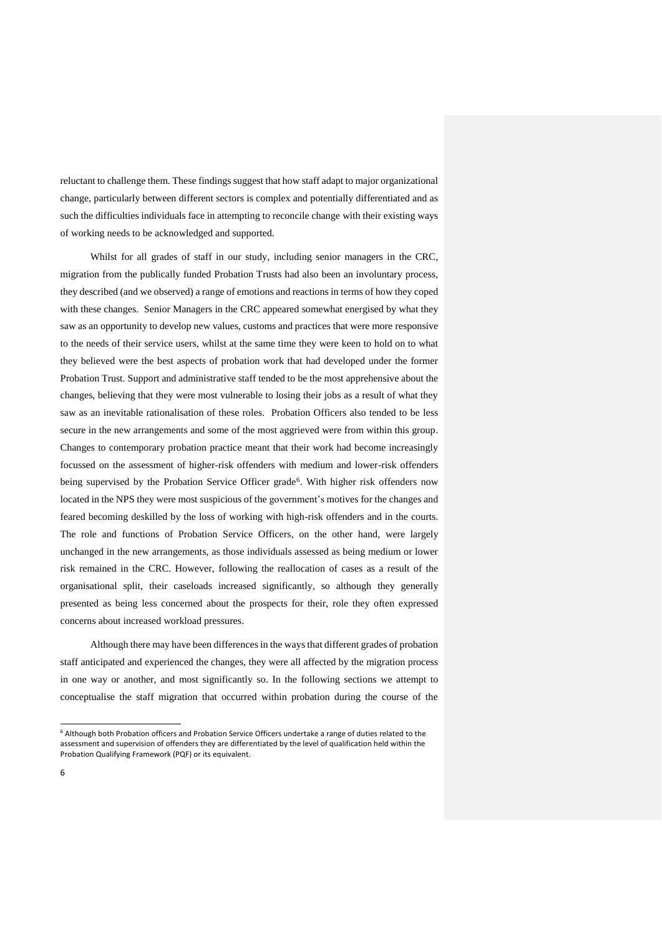reluctant to challenge them. These findings suggest that how staff adapt to major organizational change, particularly between different sectors is complex and potentially differentiated and as such the difficulties individuals face in attempting to reconcile change with their existing ways of working needs to be acknowledged and supported.

Whilst for all grades of staff in our study, including senior managers in the CRC, migration from the publically funded Probation Trusts had also been an involuntary process, they described (and we observed) a range of emotions and reactions in terms of how they coped with these changes. Senior Managers in the CRC appeared somewhat energised by what they saw as an opportunity to develop new values, customs and practices that were more responsive to the needs of their service users, whilst at the same time they were keen to hold on to what they believed were the best aspects of probation work that had developed under the former Probation Trust. Support and administrative staff tended to be the most apprehensive about the changes, believing that they were most vulnerable to losing their jobs as a result of what they saw as an inevitable rationalisation of these roles. Probation Officers also tended to be less secure in the new arrangements and some of the most aggrieved were from within this group. Changes to contemporary probation practice meant that their work had become increasingly focussed on the assessment of higher-risk offenders with medium and lower-risk offenders being supervised by the Probation Service Officer grade<sup>6</sup>. With higher risk offenders now located in the NPS they were most suspicious of the government's motives for the changes and feared becoming deskilled by the loss of working with high-risk offenders and in the courts. The role and functions of Probation Service Officers, on the other hand, were largely unchanged in the new arrangements, as those individuals assessed as being medium or lower risk remained in the CRC. However, following the reallocation of cases as a result of the organisational split, their caseloads increased significantly, so although they generally presented as being less concerned about the prospects for their, role they often expressed concerns about increased workload pressures.

Although there may have been differences in the waysthat different grades of probation staff anticipated and experienced the changes, they were all affected by the migration process in one way or another, and most significantly so. In the following sections we attempt to conceptualise the staff migration that occurred within probation during the course of the

<sup>6</sup> Although both Probation officers and Probation Service Officers undertake a range of duties related to the assessment and supervision of offenders they are differentiated by the level of qualification held within the Probation Qualifying Framework (PQF) or its equivalent.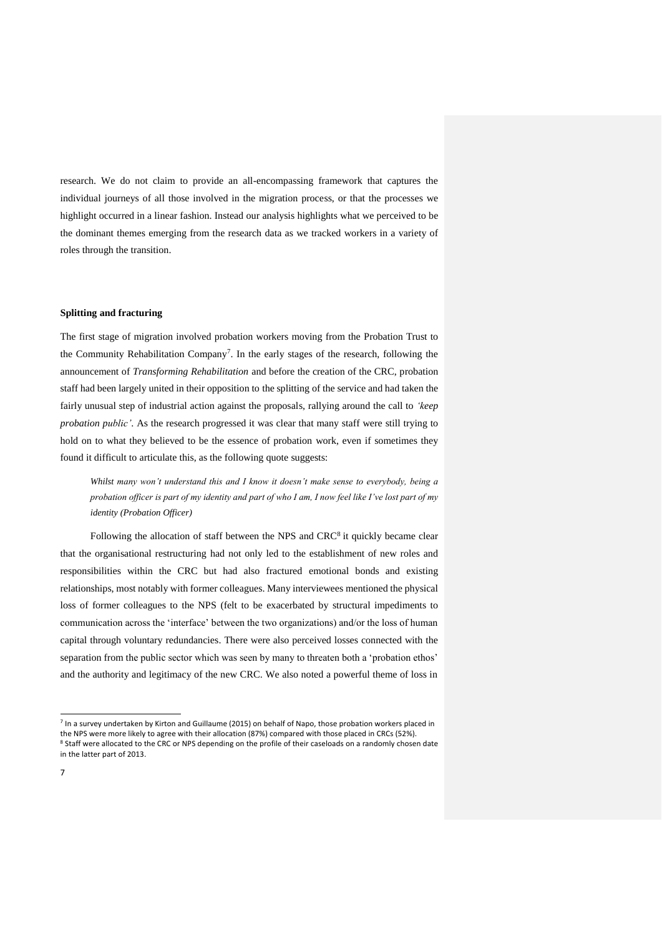research. We do not claim to provide an all-encompassing framework that captures the individual journeys of all those involved in the migration process, or that the processes we highlight occurred in a linear fashion. Instead our analysis highlights what we perceived to be the dominant themes emerging from the research data as we tracked workers in a variety of roles through the transition.

## **Splitting and fracturing**

The first stage of migration involved probation workers moving from the Probation Trust to the Community Rehabilitation Company<sup>7</sup>. In the early stages of the research, following the announcement of *Transforming Rehabilitation* and before the creation of the CRC, probation staff had been largely united in their opposition to the splitting of the service and had taken the fairly unusual step of industrial action against the proposals, rallying around the call to *'keep probation public'*. As the research progressed it was clear that many staff were still trying to hold on to what they believed to be the essence of probation work, even if sometimes they found it difficult to articulate this, as the following quote suggests:

*Whilst many won't understand this and I know it doesn't make sense to everybody, being a probation officer is part of my identity and part of who I am, I now feel like I've lost part of my identity (Probation Officer)*

Following the allocation of staff between the NPS and CRC<sup>8</sup> it quickly became clear that the organisational restructuring had not only led to the establishment of new roles and responsibilities within the CRC but had also fractured emotional bonds and existing relationships, most notably with former colleagues. Many interviewees mentioned the physical loss of former colleagues to the NPS (felt to be exacerbated by structural impediments to communication across the 'interface' between the two organizations) and/or the loss of human capital through voluntary redundancies. There were also perceived losses connected with the separation from the public sector which was seen by many to threaten both a 'probation ethos' and the authority and legitimacy of the new CRC. We also noted a powerful theme of loss in

j

<sup>&</sup>lt;sup>7</sup> In a survey undertaken by Kirton and Guillaume (2015) on behalf of Napo, those probation workers placed in the NPS were more likely to agree with their allocation (87%) compared with those placed in CRCs (52%). <sup>8</sup> Staff were allocated to the CRC or NPS depending on the profile of their caseloads on a randomly chosen date in the latter part of 2013.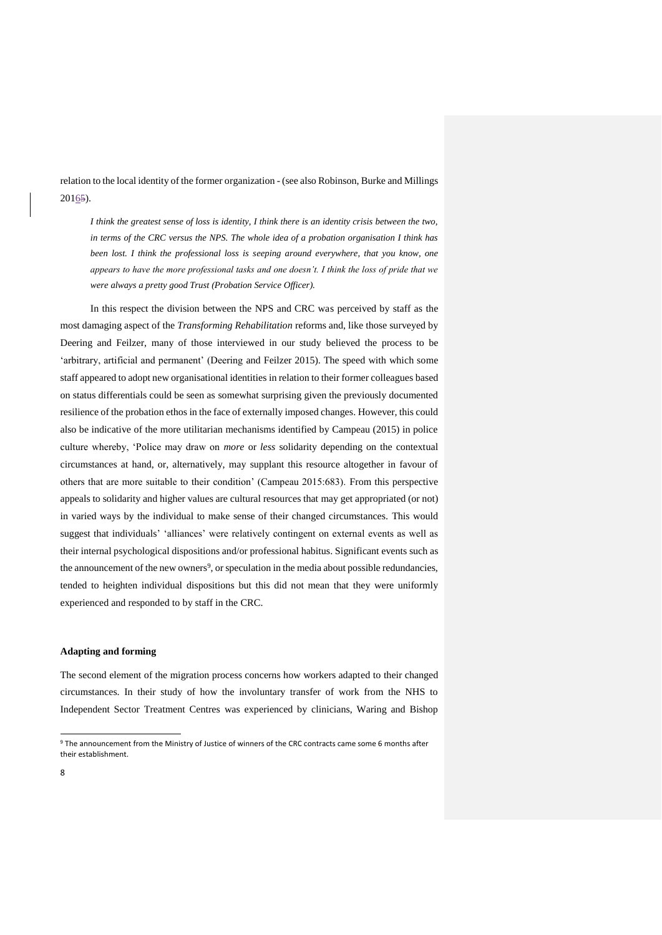relation to the local identity of the former organization - (see also Robinson, Burke and Millings  $20165$ ).

*I think the greatest sense of loss is identity, I think there is an identity crisis between the two, in terms of the CRC versus the NPS. The whole idea of a probation organisation I think has been lost. I think the professional loss is seeping around everywhere, that you know, one appears to have the more professional tasks and one doesn't. I think the loss of pride that we were always a pretty good Trust (Probation Service Officer).*

In this respect the division between the NPS and CRC was perceived by staff as the most damaging aspect of the *Transforming Rehabilitation* reforms and, like those surveyed by Deering and Feilzer, many of those interviewed in our study believed the process to be 'arbitrary, artificial and permanent' (Deering and Feilzer 2015). The speed with which some staff appeared to adopt new organisational identities in relation to their former colleagues based on status differentials could be seen as somewhat surprising given the previously documented resilience of the probation ethos in the face of externally imposed changes. However, this could also be indicative of the more utilitarian mechanisms identified by Campeau (2015) in police culture whereby, 'Police may draw on *more* or *less* solidarity depending on the contextual circumstances at hand, or, alternatively, may supplant this resource altogether in favour of others that are more suitable to their condition' (Campeau 2015:683). From this perspective appeals to solidarity and higher values are cultural resources that may get appropriated (or not) in varied ways by the individual to make sense of their changed circumstances. This would suggest that individuals' 'alliances' were relatively contingent on external events as well as their internal psychological dispositions and/or professional habitus. Significant events such as the announcement of the new owners<sup>9</sup>, or speculation in the media about possible redundancies, tended to heighten individual dispositions but this did not mean that they were uniformly experienced and responded to by staff in the CRC.

# **Adapting and forming**

The second element of the migration process concerns how workers adapted to their changed circumstances. In their study of how the involuntary transfer of work from the NHS to Independent Sector Treatment Centres was experienced by clinicians, Waring and Bishop

j

<sup>9</sup> The announcement from the Ministry of Justice of winners of the CRC contracts came some 6 months after their establishment.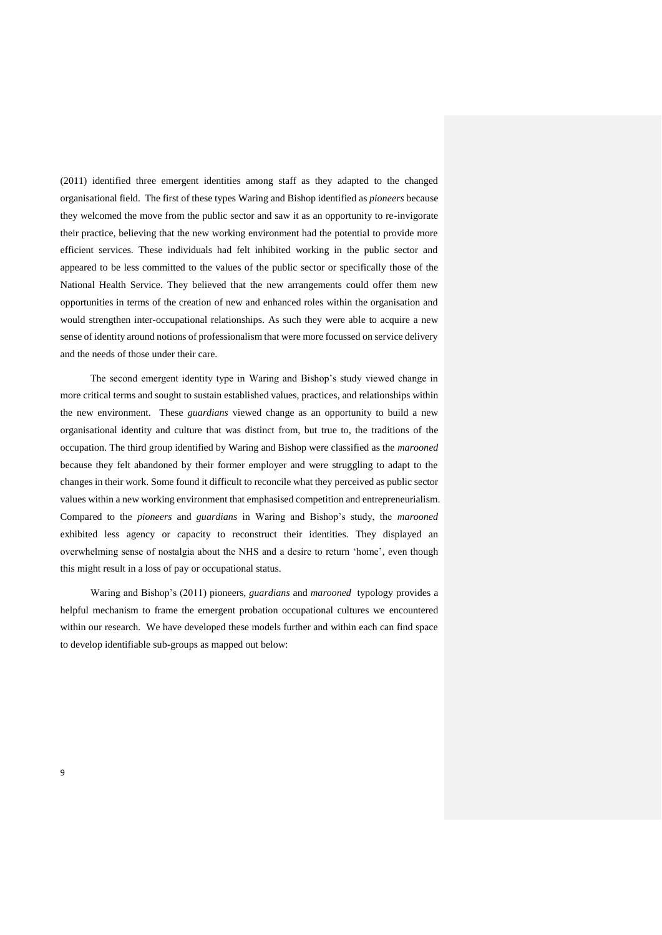(2011) identified three emergent identities among staff as they adapted to the changed organisational field. The first of these types Waring and Bishop identified as *pioneers* because they welcomed the move from the public sector and saw it as an opportunity to re-invigorate their practice, believing that the new working environment had the potential to provide more efficient services. These individuals had felt inhibited working in the public sector and appeared to be less committed to the values of the public sector or specifically those of the National Health Service. They believed that the new arrangements could offer them new opportunities in terms of the creation of new and enhanced roles within the organisation and would strengthen inter-occupational relationships. As such they were able to acquire a new sense of identity around notions of professionalism that were more focussed on service delivery and the needs of those under their care.

The second emergent identity type in Waring and Bishop's study viewed change in more critical terms and sought to sustain established values, practices, and relationships within the new environment. These *guardians* viewed change as an opportunity to build a new organisational identity and culture that was distinct from, but true to, the traditions of the occupation. The third group identified by Waring and Bishop were classified as the *marooned* because they felt abandoned by their former employer and were struggling to adapt to the changes in their work. Some found it difficult to reconcile what they perceived as public sector values within a new working environment that emphasised competition and entrepreneurialism. Compared to the *pioneers* and *guardians* in Waring and Bishop's study, the *marooned* exhibited less agency or capacity to reconstruct their identities. They displayed an overwhelming sense of nostalgia about the NHS and a desire to return 'home', even though this might result in a loss of pay or occupational status.

Waring and Bishop's (2011) pioneers*, guardians* and *marooned* typology provides a helpful mechanism to frame the emergent probation occupational cultures we encountered within our research. We have developed these models further and within each can find space to develop identifiable sub-groups as mapped out below: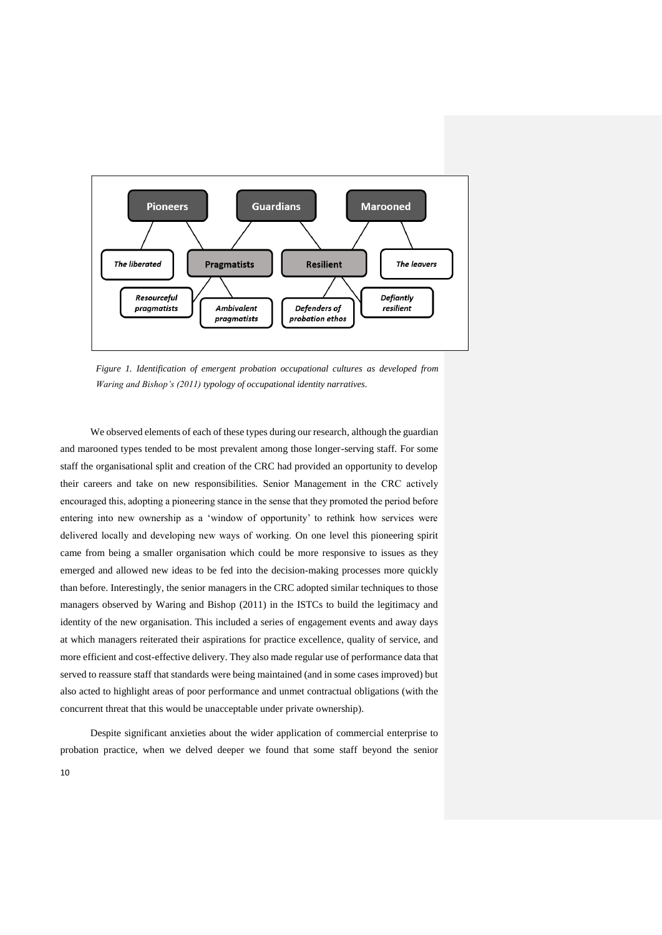

*Figure 1. Identification of emergent probation occupational cultures as developed from Waring and Bishop's (2011) typology of occupational identity narratives.*

We observed elements of each of these types during our research, although the guardian and marooned types tended to be most prevalent among those longer-serving staff. For some staff the organisational split and creation of the CRC had provided an opportunity to develop their careers and take on new responsibilities. Senior Management in the CRC actively encouraged this, adopting a pioneering stance in the sense that they promoted the period before entering into new ownership as a 'window of opportunity' to rethink how services were delivered locally and developing new ways of working. On one level this pioneering spirit came from being a smaller organisation which could be more responsive to issues as they emerged and allowed new ideas to be fed into the decision-making processes more quickly than before. Interestingly, the senior managers in the CRC adopted similar techniques to those managers observed by Waring and Bishop (2011) in the ISTCs to build the legitimacy and identity of the new organisation. This included a series of engagement events and away days at which managers reiterated their aspirations for practice excellence, quality of service, and more efficient and cost-effective delivery. They also made regular use of performance data that served to reassure staff that standards were being maintained (and in some cases improved) but also acted to highlight areas of poor performance and unmet contractual obligations (with the concurrent threat that this would be unacceptable under private ownership).

10 Despite significant anxieties about the wider application of commercial enterprise to probation practice, when we delved deeper we found that some staff beyond the senior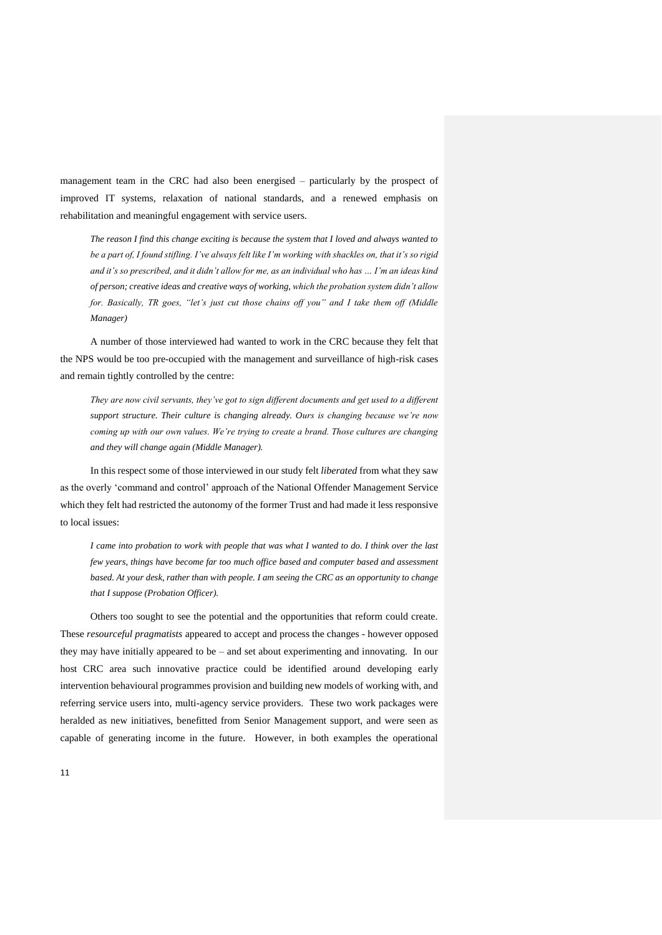management team in the CRC had also been energised – particularly by the prospect of improved IT systems, relaxation of national standards, and a renewed emphasis on rehabilitation and meaningful engagement with service users.

*The reason I find this change exciting is because the system that I loved and always wanted to be a part of, I found stifling. I've always felt like I'm working with shackles on, that it's so rigid and it's so prescribed, and it didn't allow for me, as an individual who has … I'm an ideas kind of person; creative ideas and creative ways of working, which the probation system didn't allow for. Basically, TR goes, "let's just cut those chains off you" and I take them off (Middle Manager)*

A number of those interviewed had wanted to work in the CRC because they felt that the NPS would be too pre-occupied with the management and surveillance of high-risk cases and remain tightly controlled by the centre:

*They are now civil servants, they've got to sign different documents and get used to a different support structure. Their culture is changing already. Ours is changing because we're now coming up with our own values. We're trying to create a brand. Those cultures are changing and they will change again (Middle Manager).*

In this respect some of those interviewed in our study felt *liberated* from what they saw as the overly 'command and control' approach of the National Offender Management Service which they felt had restricted the autonomy of the former Trust and had made it less responsive to local issues:

*I came into probation to work with people that was what I wanted to do. I think over the last few years, things have become far too much office based and computer based and assessment based. At your desk, rather than with people. I am seeing the CRC as an opportunity to change that I suppose (Probation Officer).*

Others too sought to see the potential and the opportunities that reform could create. These *resourceful pragmatists* appeared to accept and process the changes - however opposed they may have initially appeared to be – and set about experimenting and innovating. In our host CRC area such innovative practice could be identified around developing early intervention behavioural programmes provision and building new models of working with, and referring service users into, multi-agency service providers. These two work packages were heralded as new initiatives, benefitted from Senior Management support, and were seen as capable of generating income in the future. However, in both examples the operational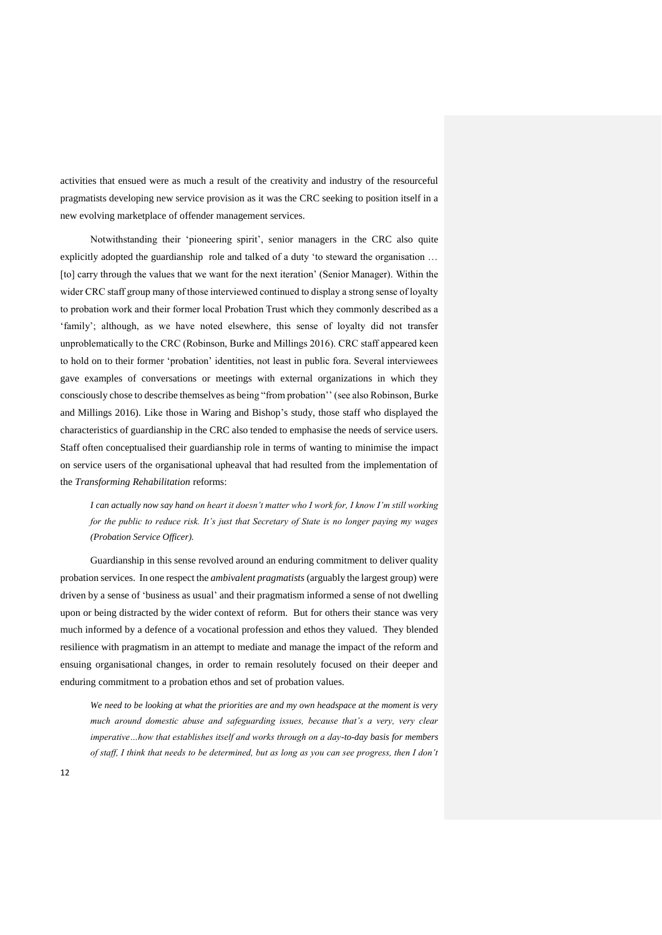activities that ensued were as much a result of the creativity and industry of the resourceful pragmatists developing new service provision as it was the CRC seeking to position itself in a new evolving marketplace of offender management services.

Notwithstanding their 'pioneering spirit', senior managers in the CRC also quite explicitly adopted the guardianship role and talked of a duty 'to steward the organisation … [to] carry through the values that we want for the next iteration' (Senior Manager). Within the wider CRC staff group many of those interviewed continued to display a strong sense of loyalty to probation work and their former local Probation Trust which they commonly described as a 'family'; although, as we have noted elsewhere, this sense of loyalty did not transfer unproblematically to the CRC (Robinson, Burke and Millings 2016). CRC staff appeared keen to hold on to their former 'probation' identities, not least in public fora. Several interviewees gave examples of conversations or meetings with external organizations in which they consciously chose to describe themselves as being "from probation'' (see also Robinson, Burke and Millings 2016). Like those in Waring and Bishop's study, those staff who displayed the characteristics of guardianship in the CRC also tended to emphasise the needs of service users. Staff often conceptualised their guardianship role in terms of wanting to minimise the impact on service users of the organisational upheaval that had resulted from the implementation of the *Transforming Rehabilitation* reforms:

*I can actually now say hand on heart it doesn't matter who I work for, I know I'm still working for the public to reduce risk. It's just that Secretary of State is no longer paying my wages (Probation Service Officer).*

Guardianship in this sense revolved around an enduring commitment to deliver quality probation services. In one respect the *ambivalent pragmatists* (arguably the largest group) were driven by a sense of 'business as usual' and their pragmatism informed a sense of not dwelling upon or being distracted by the wider context of reform. But for others their stance was very much informed by a defence of a vocational profession and ethos they valued. They blended resilience with pragmatism in an attempt to mediate and manage the impact of the reform and ensuing organisational changes, in order to remain resolutely focused on their deeper and enduring commitment to a probation ethos and set of probation values.

*We need to be looking at what the priorities are and my own headspace at the moment is very much around domestic abuse and safeguarding issues, because that's a very, very clear imperative…how that establishes itself and works through on a day-to-day basis for members of staff, I think that needs to be determined, but as long as you can see progress, then I don't*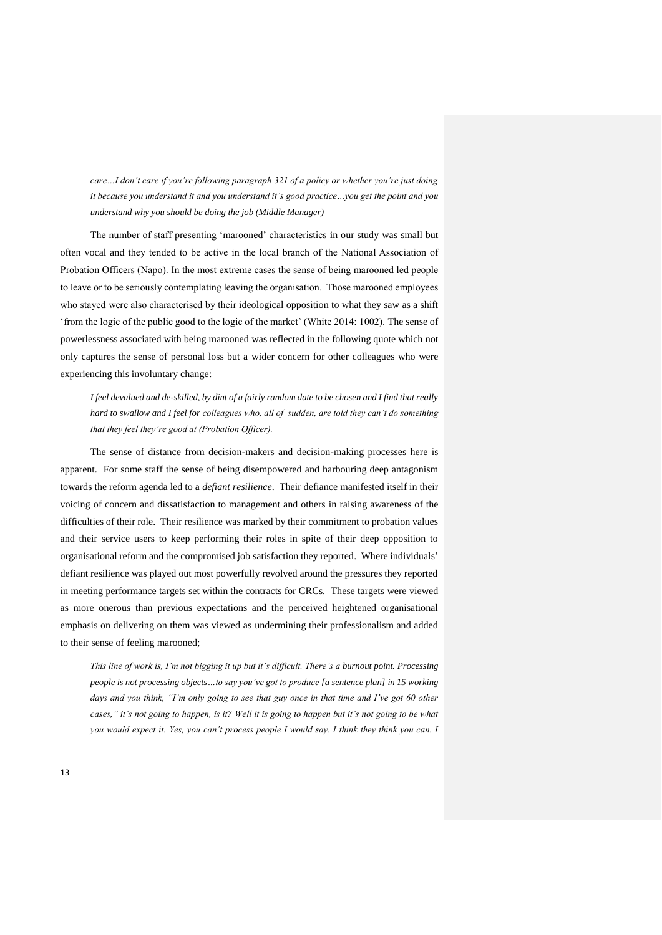*care…I don't care if you're following paragraph 321 of a policy or whether you're just doing it because you understand it and you understand it's good practice…you get the point and you understand why you should be doing the job (Middle Manager)*

The number of staff presenting 'marooned' characteristics in our study was small but often vocal and they tended to be active in the local branch of the National Association of Probation Officers (Napo). In the most extreme cases the sense of being marooned led people to leave or to be seriously contemplating leaving the organisation. Those marooned employees who stayed were also characterised by their ideological opposition to what they saw as a shift 'from the logic of the public good to the logic of the market' (White 2014: 1002). The sense of powerlessness associated with being marooned was reflected in the following quote which not only captures the sense of personal loss but a wider concern for other colleagues who were experiencing this involuntary change:

*I feel devalued and de-skilled, by dint of a fairly random date to be chosen and I find that really hard to swallow and I feel for colleagues who, all of sudden, are told they can't do something that they feel they're good at (Probation Officer).*

The sense of distance from decision-makers and decision-making processes here is apparent. For some staff the sense of being disempowered and harbouring deep antagonism towards the reform agenda led to a *defiant resilience*. Their defiance manifested itself in their voicing of concern and dissatisfaction to management and others in raising awareness of the difficulties of their role. Their resilience was marked by their commitment to probation values and their service users to keep performing their roles in spite of their deep opposition to organisational reform and the compromised job satisfaction they reported. Where individuals' defiant resilience was played out most powerfully revolved around the pressures they reported in meeting performance targets set within the contracts for CRCs. These targets were viewed as more onerous than previous expectations and the perceived heightened organisational emphasis on delivering on them was viewed as undermining their professionalism and added to their sense of feeling marooned;

*This line of work is, I'm not bigging it up but it's difficult. There's a burnout point. Processing people is not processing objects…to say you've got to produce [a sentence plan] in 15 working*  days and you think, "I'm only going to see that guy once in that time and I've got 60 other *cases," it's not going to happen, is it? Well it is going to happen but it's not going to be what you would expect it. Yes, you can't process people I would say. I think they think you can. I*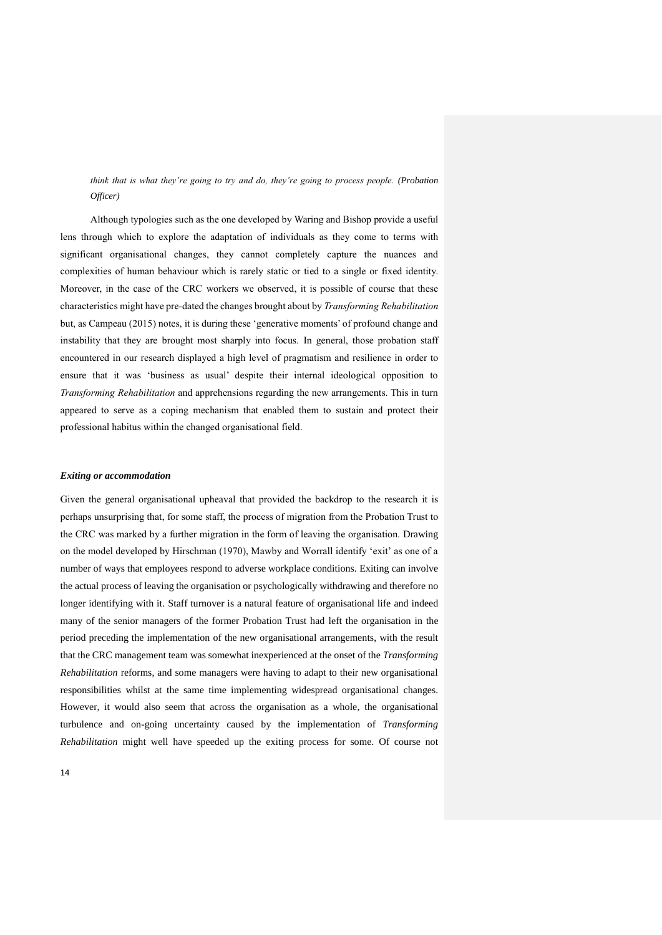*think that is what they're going to try and do, they're going to process people. (Probation Officer)*

Although typologies such as the one developed by Waring and Bishop provide a useful lens through which to explore the adaptation of individuals as they come to terms with significant organisational changes, they cannot completely capture the nuances and complexities of human behaviour which is rarely static or tied to a single or fixed identity. Moreover, in the case of the CRC workers we observed, it is possible of course that these characteristics might have pre-dated the changes brought about by *Transforming Rehabilitation* but, as Campeau (2015) notes, it is during these 'generative moments' of profound change and instability that they are brought most sharply into focus. In general, those probation staff encountered in our research displayed a high level of pragmatism and resilience in order to ensure that it was 'business as usual' despite their internal ideological opposition to *Transforming Rehabilitation* and apprehensions regarding the new arrangements. This in turn appeared to serve as a coping mechanism that enabled them to sustain and protect their professional habitus within the changed organisational field.

#### *Exiting or accommodation*

Given the general organisational upheaval that provided the backdrop to the research it is perhaps unsurprising that, for some staff, the process of migration from the Probation Trust to the CRC was marked by a further migration in the form of leaving the organisation. Drawing on the model developed by Hirschman (1970), Mawby and Worrall identify 'exit' as one of a number of ways that employees respond to adverse workplace conditions. Exiting can involve the actual process of leaving the organisation or psychologically withdrawing and therefore no longer identifying with it. Staff turnover is a natural feature of organisational life and indeed many of the senior managers of the former Probation Trust had left the organisation in the period preceding the implementation of the new organisational arrangements, with the result that the CRC management team was somewhat inexperienced at the onset of the *Transforming Rehabilitation* reforms, and some managers were having to adapt to their new organisational responsibilities whilst at the same time implementing widespread organisational changes. However, it would also seem that across the organisation as a whole, the organisational turbulence and on-going uncertainty caused by the implementation of *Transforming Rehabilitation* might well have speeded up the exiting process for some. Of course not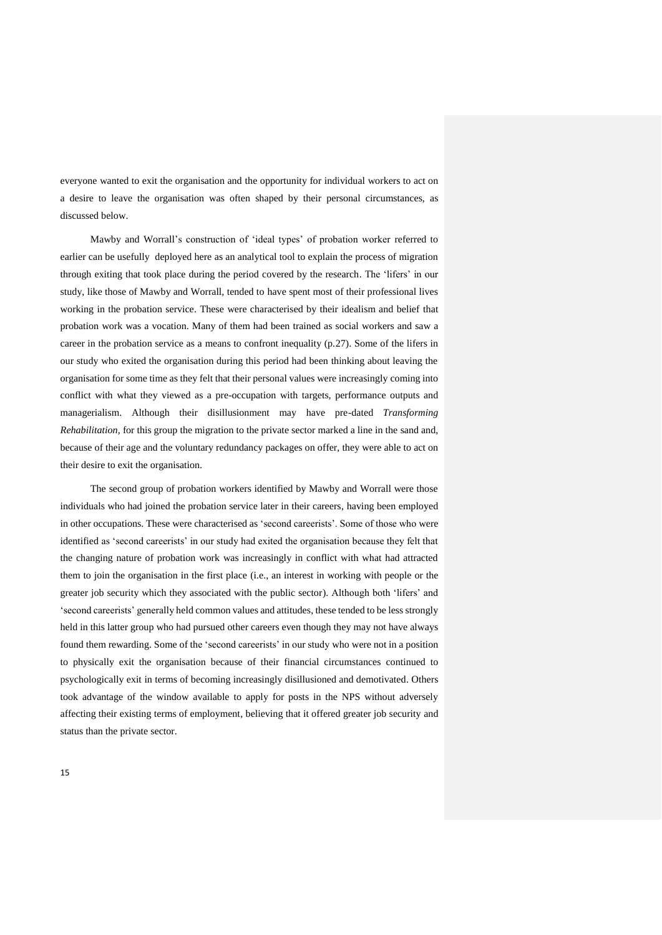everyone wanted to exit the organisation and the opportunity for individual workers to act on a desire to leave the organisation was often shaped by their personal circumstances, as discussed below.

Mawby and Worrall's construction of 'ideal types' of probation worker referred to earlier can be usefully deployed here as an analytical tool to explain the process of migration through exiting that took place during the period covered by the research. The 'lifers' in our study, like those of Mawby and Worrall, tended to have spent most of their professional lives working in the probation service. These were characterised by their idealism and belief that probation work was a vocation. Many of them had been trained as social workers and saw a career in the probation service as a means to confront inequality (p.27). Some of the lifers in our study who exited the organisation during this period had been thinking about leaving the organisation for some time as they felt that their personal values were increasingly coming into conflict with what they viewed as a pre-occupation with targets, performance outputs and managerialism. Although their disillusionment may have pre-dated *Transforming Rehabilitation,* for this group the migration to the private sector marked a line in the sand and, because of their age and the voluntary redundancy packages on offer, they were able to act on their desire to exit the organisation.

The second group of probation workers identified by Mawby and Worrall were those individuals who had joined the probation service later in their careers, having been employed in other occupations. These were characterised as 'second careerists'. Some of those who were identified as 'second careerists' in our study had exited the organisation because they felt that the changing nature of probation work was increasingly in conflict with what had attracted them to join the organisation in the first place (i.e., an interest in working with people or the greater job security which they associated with the public sector). Although both 'lifers' and 'second careerists' generally held common values and attitudes, these tended to be less strongly held in this latter group who had pursued other careers even though they may not have always found them rewarding. Some of the 'second careerists' in our study who were not in a position to physically exit the organisation because of their financial circumstances continued to psychologically exit in terms of becoming increasingly disillusioned and demotivated. Others took advantage of the window available to apply for posts in the NPS without adversely affecting their existing terms of employment, believing that it offered greater job security and status than the private sector.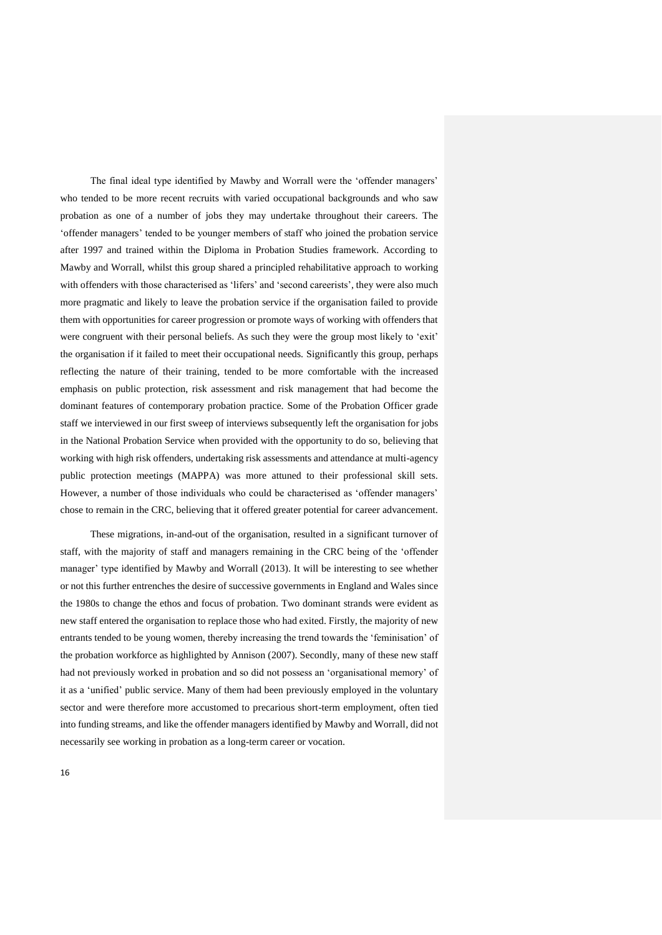The final ideal type identified by Mawby and Worrall were the 'offender managers' who tended to be more recent recruits with varied occupational backgrounds and who saw probation as one of a number of jobs they may undertake throughout their careers. The 'offender managers' tended to be younger members of staff who joined the probation service after 1997 and trained within the Diploma in Probation Studies framework. According to Mawby and Worrall, whilst this group shared a principled rehabilitative approach to working with offenders with those characterised as 'lifers' and 'second careerists', they were also much more pragmatic and likely to leave the probation service if the organisation failed to provide them with opportunities for career progression or promote ways of working with offenders that were congruent with their personal beliefs. As such they were the group most likely to 'exit' the organisation if it failed to meet their occupational needs. Significantly this group, perhaps reflecting the nature of their training, tended to be more comfortable with the increased emphasis on public protection, risk assessment and risk management that had become the dominant features of contemporary probation practice. Some of the Probation Officer grade staff we interviewed in our first sweep of interviews subsequently left the organisation for jobs in the National Probation Service when provided with the opportunity to do so, believing that working with high risk offenders, undertaking risk assessments and attendance at multi-agency public protection meetings (MAPPA) was more attuned to their professional skill sets. However, a number of those individuals who could be characterised as 'offender managers' chose to remain in the CRC, believing that it offered greater potential for career advancement.

These migrations, in-and-out of the organisation, resulted in a significant turnover of staff, with the majority of staff and managers remaining in the CRC being of the 'offender manager' type identified by Mawby and Worrall (2013). It will be interesting to see whether or not this further entrenches the desire of successive governments in England and Wales since the 1980s to change the ethos and focus of probation. Two dominant strands were evident as new staff entered the organisation to replace those who had exited. Firstly, the majority of new entrants tended to be young women, thereby increasing the trend towards the 'feminisation' of the probation workforce as highlighted by Annison (2007). Secondly, many of these new staff had not previously worked in probation and so did not possess an 'organisational memory' of it as a 'unified' public service. Many of them had been previously employed in the voluntary sector and were therefore more accustomed to precarious short-term employment, often tied into funding streams, and like the offender managers identified by Mawby and Worrall, did not necessarily see working in probation as a long-term career or vocation.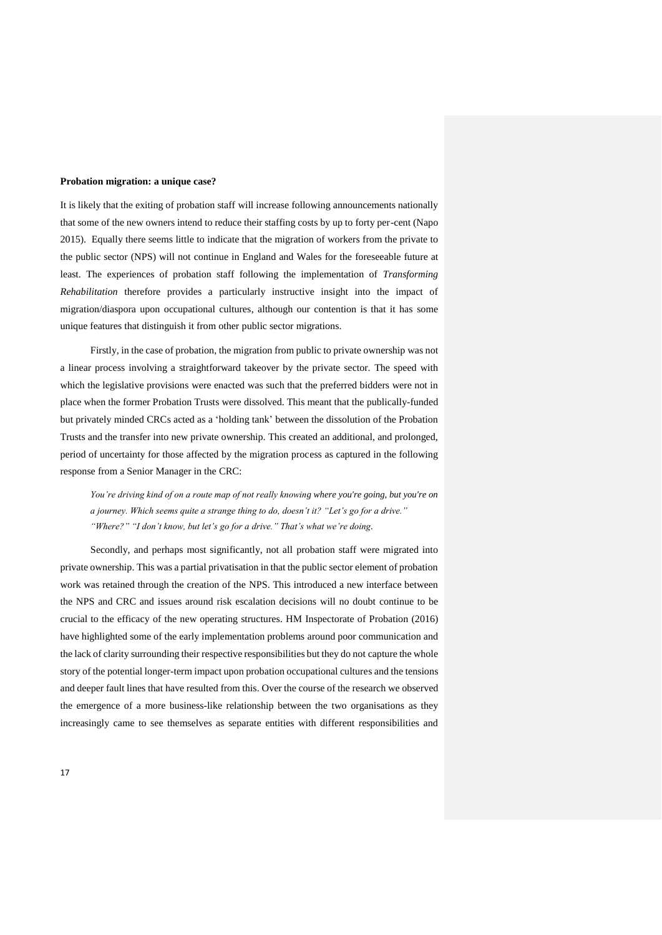## **Probation migration: a unique case?**

It is likely that the exiting of probation staff will increase following announcements nationally that some of the new owners intend to reduce their staffing costs by up to forty per-cent (Napo 2015). Equally there seems little to indicate that the migration of workers from the private to the public sector (NPS) will not continue in England and Wales for the foreseeable future at least. The experiences of probation staff following the implementation of *Transforming Rehabilitation* therefore provides a particularly instructive insight into the impact of migration/diaspora upon occupational cultures, although our contention is that it has some unique features that distinguish it from other public sector migrations.

Firstly, in the case of probation, the migration from public to private ownership was not a linear process involving a straightforward takeover by the private sector. The speed with which the legislative provisions were enacted was such that the preferred bidders were not in place when the former Probation Trusts were dissolved. This meant that the publically-funded but privately minded CRCs acted as a 'holding tank' between the dissolution of the Probation Trusts and the transfer into new private ownership. This created an additional, and prolonged, period of uncertainty for those affected by the migration process as captured in the following response from a Senior Manager in the CRC:

*You're driving kind of on a route map of not really knowing where you're going, but you're on a journey. Which seems quite a strange thing to do, doesn't it? "Let's go for a drive." "Where?" "I don't know, but let's go for a drive." That's what we're doing.*

Secondly, and perhaps most significantly, not all probation staff were migrated into private ownership. This was a partial privatisation in that the public sector element of probation work was retained through the creation of the NPS. This introduced a new interface between the NPS and CRC and issues around risk escalation decisions will no doubt continue to be crucial to the efficacy of the new operating structures. HM Inspectorate of Probation (2016) have highlighted some of the early implementation problems around poor communication and the lack of clarity surrounding their respective responsibilities but they do not capture the whole story of the potential longer-term impact upon probation occupational cultures and the tensions and deeper fault lines that have resulted from this. Over the course of the research we observed the emergence of a more business-like relationship between the two organisations as they increasingly came to see themselves as separate entities with different responsibilities and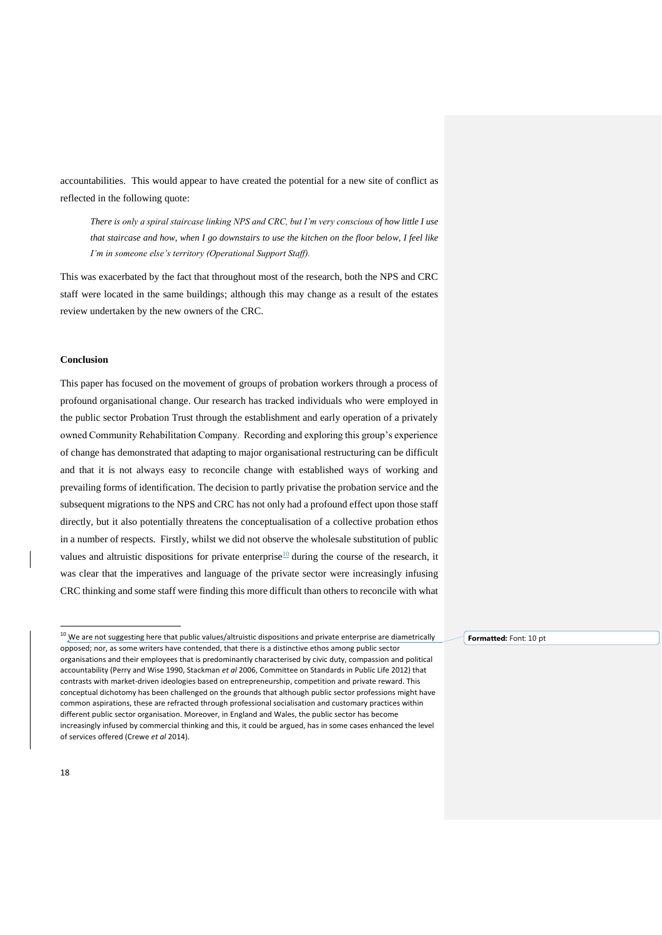accountabilities. This would appear to have created the potential for a new site of conflict as reflected in the following quote:

*There is only a spiral staircase linking NPS and CRC, but I'm very conscious of how little I use that staircase and how, when I go downstairs to use the kitchen on the floor below, I feel like I'm in someone else's territory (Operational Support Staff).*

This was exacerbated by the fact that throughout most of the research, both the NPS and CRC staff were located in the same buildings; although this may change as a result of the estates review undertaken by the new owners of the CRC.

# **Conclusion**

This paper has focused on the movement of groups of probation workers through a process of profound organisational change. Our research has tracked individuals who were employed in the public sector Probation Trust through the establishment and early operation of a privately owned Community Rehabilitation Company. Recording and exploring this group's experience of change has demonstrated that adapting to major organisational restructuring can be difficult and that it is not always easy to reconcile change with established ways of working and prevailing forms of identification. The decision to partly privatise the probation service and the subsequent migrations to the NPS and CRC has not only had a profound effect upon those staff directly, but it also potentially threatens the conceptualisation of a collective probation ethos in a number of respects. Firstly, whilst we did not observe the wholesale substitution of public values and altruistic dispositions for private enterprise<sup>10</sup> during the course of the research, it was clear that the imperatives and language of the private sector were increasingly infusing CRC thinking and some staff were finding this more difficult than others to reconcile with what

**Formatted:** Font: 10 pt

 $10$  We are not suggesting here that public values/altruistic dispositions and private enterprise are diametrically opposed; nor, as some writers have contended, that there is a distinctive ethos among public sector organisations and their employees that is predominantly characterised by civic duty, compassion and political accountability (Perry and Wise 1990, Stackman *et al* 2006, Committee on Standards in Public Life 2012) that contrasts with market-driven ideologies based on entrepreneurship, competition and private reward. This conceptual dichotomy has been challenged on the grounds that although public sector professions might have common aspirations, these are refracted through professional socialisation and customary practices within different public sector organisation. Moreover, in England and Wales, the public sector has become increasingly infused by commercial thinking and this, it could be argued, has in some cases enhanced the level of services offered (Crewe *et al* 2014).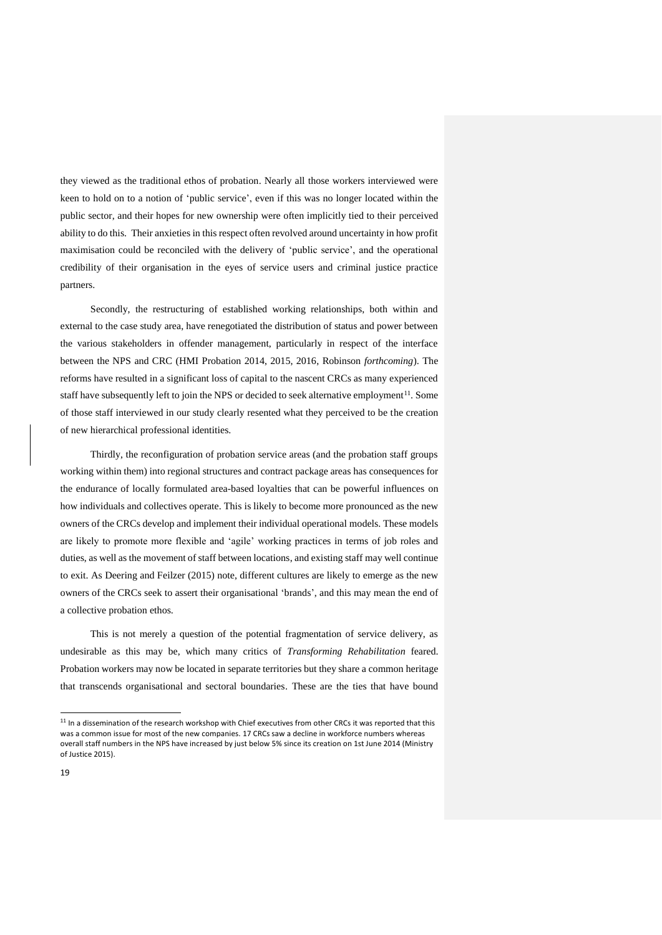they viewed as the traditional ethos of probation. Nearly all those workers interviewed were keen to hold on to a notion of 'public service', even if this was no longer located within the public sector, and their hopes for new ownership were often implicitly tied to their perceived ability to do this. Their anxieties in this respect often revolved around uncertainty in how profit maximisation could be reconciled with the delivery of 'public service', and the operational credibility of their organisation in the eyes of service users and criminal justice practice partners.

Secondly, the restructuring of established working relationships, both within and external to the case study area, have renegotiated the distribution of status and power between the various stakeholders in offender management, particularly in respect of the interface between the NPS and CRC (HMI Probation 2014, 2015, 2016, Robinson *forthcoming*). The reforms have resulted in a significant loss of capital to the nascent CRCs as many experienced staff have subsequently left to join the NPS or decided to seek alternative employment<sup>11</sup>. Some of those staff interviewed in our study clearly resented what they perceived to be the creation of new hierarchical professional identities.

Thirdly, the reconfiguration of probation service areas (and the probation staff groups working within them) into regional structures and contract package areas has consequences for the endurance of locally formulated area-based loyalties that can be powerful influences on how individuals and collectives operate. This is likely to become more pronounced as the new owners of the CRCs develop and implement their individual operational models. These models are likely to promote more flexible and 'agile' working practices in terms of job roles and duties, as well as the movement of staff between locations, and existing staff may well continue to exit. As Deering and Feilzer (2015) note, different cultures are likely to emerge as the new owners of the CRCs seek to assert their organisational 'brands', and this may mean the end of a collective probation ethos.

This is not merely a question of the potential fragmentation of service delivery, as undesirable as this may be, which many critics of *Transforming Rehabilitation* feared. Probation workers may now be located in separate territories but they share a common heritage that transcends organisational and sectoral boundaries. These are the ties that have bound

 $11$  In a dissemination of the research workshop with Chief executives from other CRCs it was reported that this was a common issue for most of the new companies. 17 CRCs saw a decline in workforce numbers whereas overall staff numbers in the NPS have increased by just below 5% since its creation on 1st June 2014 (Ministry of Justice 2015).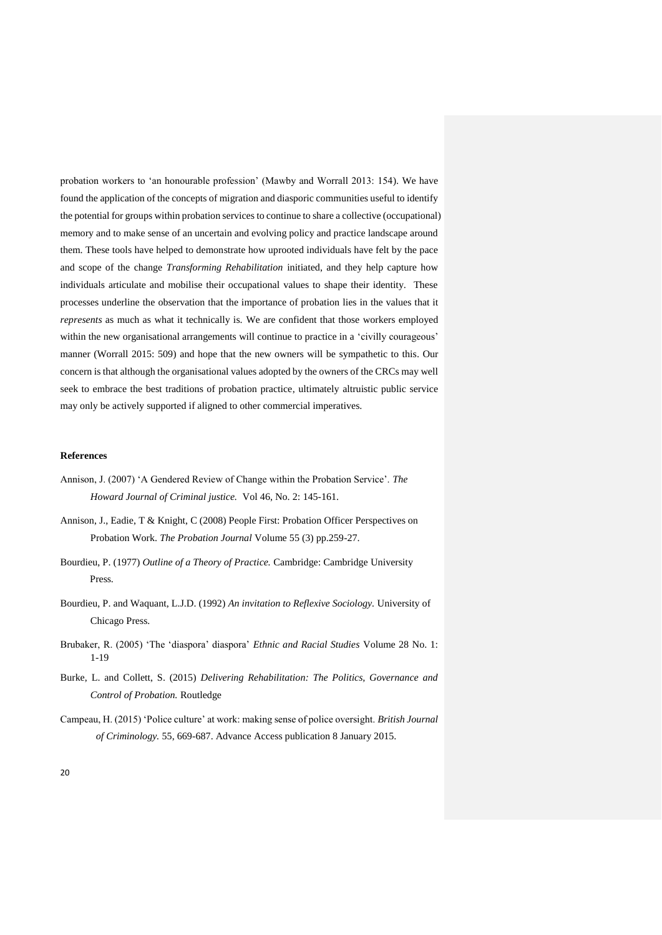probation workers to 'an honourable profession' (Mawby and Worrall 2013: 154). We have found the application of the concepts of migration and diasporic communities useful to identify the potential for groups within probation services to continue to share a collective (occupational) memory and to make sense of an uncertain and evolving policy and practice landscape around them. These tools have helped to demonstrate how uprooted individuals have felt by the pace and scope of the change *Transforming Rehabilitation* initiated, and they help capture how individuals articulate and mobilise their occupational values to shape their identity. These processes underline the observation that the importance of probation lies in the values that it *represents* as much as what it technically is. We are confident that those workers employed within the new organisational arrangements will continue to practice in a 'civilly courageous' manner (Worrall 2015: 509) and hope that the new owners will be sympathetic to this. Our concern is that although the organisational values adopted by the owners of the CRCs may well seek to embrace the best traditions of probation practice, ultimately altruistic public service may only be actively supported if aligned to other commercial imperatives.

# **References**

- Annison, J. (2007) 'A Gendered Review of Change within the Probation Service'. *The Howard Journal of Criminal justice.* Vol 46, No. 2: 145-161.
- Annison, J., Eadie, T & Knight, C (2008) People First: Probation Officer Perspectives on Probation Work. *The Probation Journal* Volume 55 (3) pp.259-27.
- Bourdieu, P. (1977) *Outline of a Theory of Practice.* Cambridge: Cambridge University Press.
- Bourdieu, P. and Waquant, L.J.D. (1992) *An invitation to Reflexive Sociology.* University of Chicago Press.
- Brubaker, R. (2005) 'The 'diaspora' diaspora' *Ethnic and Racial Studies* Volume 28 No. 1: 1-19
- Burke, L. and Collett, S. (2015) *Delivering Rehabilitation: The Politics, Governance and Control of Probation.* Routledge
- Campeau, H. (2015) 'Police culture' at work: making sense of police oversight. *British Journal of Criminology.* 55, 669-687. Advance Access publication 8 January 2015.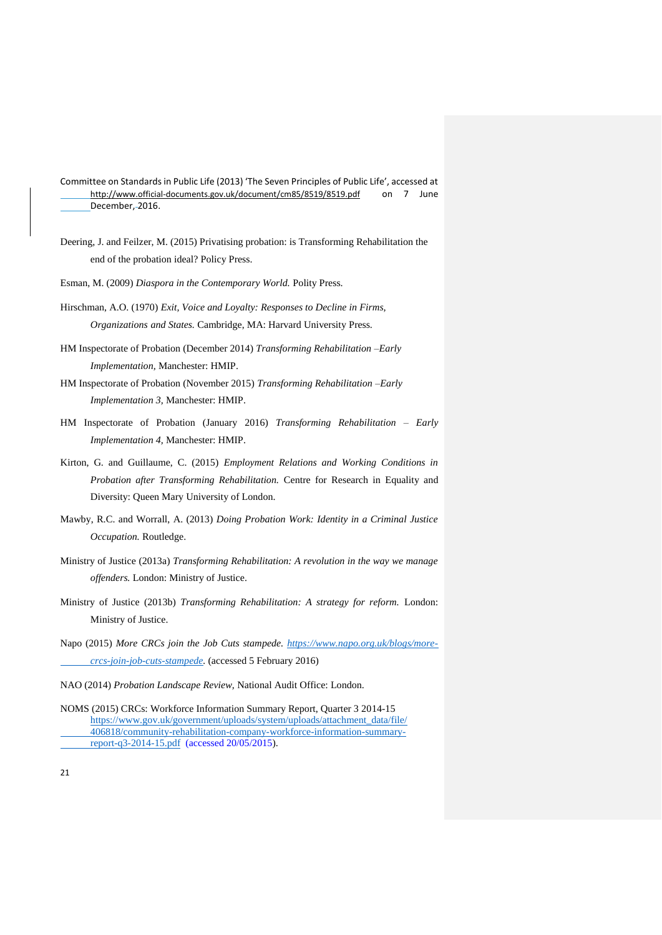Committee on Standards in Public Life (2013) 'The Seven Principles of Public Life', accessed at <http://www.official-documents.gov.uk/document/cm85/8519/8519.pdf> on 7 June December, -2016.

- Deering, J. and Feilzer, M. (2015) Privatising probation: is Transforming Rehabilitation the end of the probation ideal? Policy Press.
- Esman, M. (2009) *Diaspora in the Contemporary World.* Polity Press.
- Hirschman, A.O. (1970) *Exit, Voice and Loyalty: Responses to Decline in Firms, Organizations and States.* Cambridge, MA: Harvard University Press.
- HM Inspectorate of Probation (December 2014) *Transforming Rehabilitation –Early Implementation,* Manchester: HMIP.
- HM Inspectorate of Probation (November 2015) *Transforming Rehabilitation –Early Implementation 3,* Manchester: HMIP.
- HM Inspectorate of Probation (January 2016) *Transforming Rehabilitation – Early Implementation 4,* Manchester: HMIP.
- Kirton, G. and Guillaume, C. (2015) *Employment Relations and Working Conditions in Probation after Transforming Rehabilitation.* Centre for Research in Equality and Diversity: Queen Mary University of London.
- Mawby, R.C. and Worrall, A. (2013) *Doing Probation Work: Identity in a Criminal Justice Occupation.* Routledge.
- Ministry of Justice (2013a) *Transforming Rehabilitation: A revolution in the way we manage offenders.* London: Ministry of Justice.
- Ministry of Justice (2013b) *Transforming Rehabilitation: A strategy for reform.* London: Ministry of Justice.
- Napo (2015) *More CRCs join the Job Cuts stampede. [https://www.napo.org.uk/blogs/more](https://www.napo.org.uk/blogs/more-%09crcs-join-job-cuts-stampede)[crcs-join-job-cuts-stampede.](https://www.napo.org.uk/blogs/more-%09crcs-join-job-cuts-stampede)* (accessed 5 February 2016)
- NAO (2014) *Probation Landscape Review,* National Audit Office: London.

NOMS (2015) CRCs: Workforce Information Summary Report, Quarter 3 2014-15 [https://www.gov.uk/government/uploads/system/uploads/attachment\\_data/file/](https://www.gov.uk/government/uploads/system/uploads/attachment_data/file/%09406818/community-rehabilitation-company-workforce-information-summary-%09report-q3-2014-15.pdf) [406818/community-rehabilitation-company-workforce-information-summary](https://www.gov.uk/government/uploads/system/uploads/attachment_data/file/%09406818/community-rehabilitation-company-workforce-information-summary-%09report-q3-2014-15.pdf)[report-q3-2014-15.pdf](https://www.gov.uk/government/uploads/system/uploads/attachment_data/file/%09406818/community-rehabilitation-company-workforce-information-summary-%09report-q3-2014-15.pdf) (accessed 20/05/2015).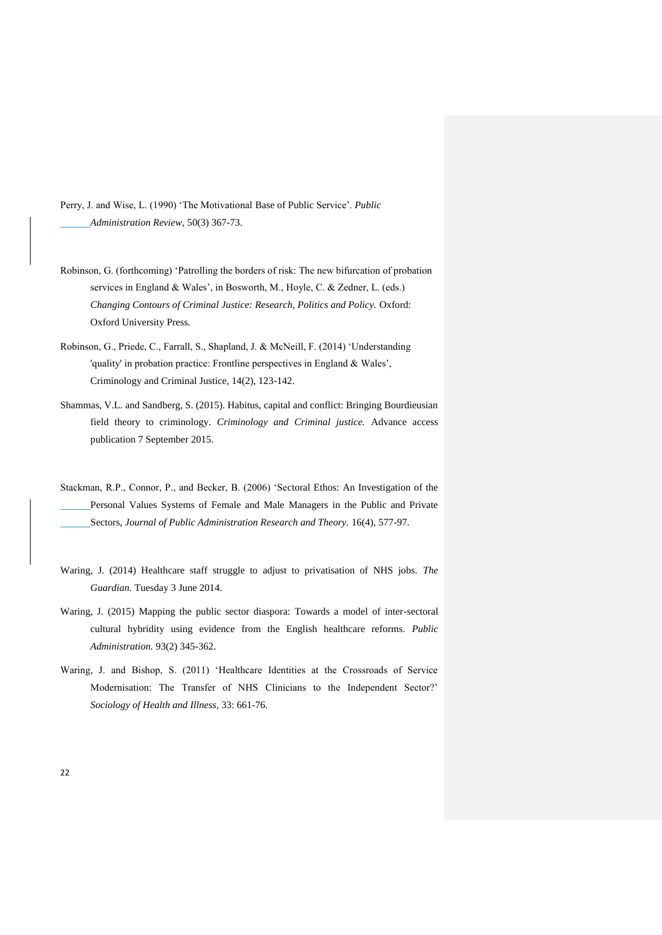Perry, J. and Wise, L. (1990) 'The Motivational Base of Public Service'. *Public Administration Review,* 50(3) 367-73.

- Robinson, G. (forthcoming) 'Patrolling the borders of risk: The new bifurcation of probation services in England & Wales', in Bosworth, M., Hoyle, C. & Zedner, L. (eds.) *Changing Contours of Criminal Justice: Research, Politics and Policy.* Oxford: Oxford University Press.
- Robinson, G., Priede, C., Farrall, S., Shapland, J. & McNeill, F. (2014) 'Understanding 'quality' in probation practice: Frontline perspectives in England & Wales', Criminology and Criminal Justice, 14(2), 123-142.
- Shammas, V.L. and Sandberg, S. (2015). Habitus, capital and conflict: Bringing Bourdieusian field theory to criminology. *Criminology and Criminal justice.* Advance access publication 7 September 2015.
- Stackman, R.P., Connor, P., and Becker, B. (2006) 'Sectoral Ethos: An Investigation of the Personal Values Systems of Female and Male Managers in the Public and Private Sectors, *Journal of Public Administration Research and Theory.* 16(4), 577-97.
- Waring, J. (2014) Healthcare staff struggle to adjust to privatisation of NHS jobs. *The Guardian.* Tuesday 3 June 2014.
- Waring, J. (2015) Mapping the public sector diaspora: Towards a model of inter-sectoral cultural hybridity using evidence from the English healthcare reforms. *Public Administration.* 93(2) 345-362.
- Waring, J. and Bishop, S. (2011) 'Healthcare Identities at the Crossroads of Service Modernisation: The Transfer of NHS Clinicians to the Independent Sector?' *Sociology of Health and Illness,* 33: 661-76.